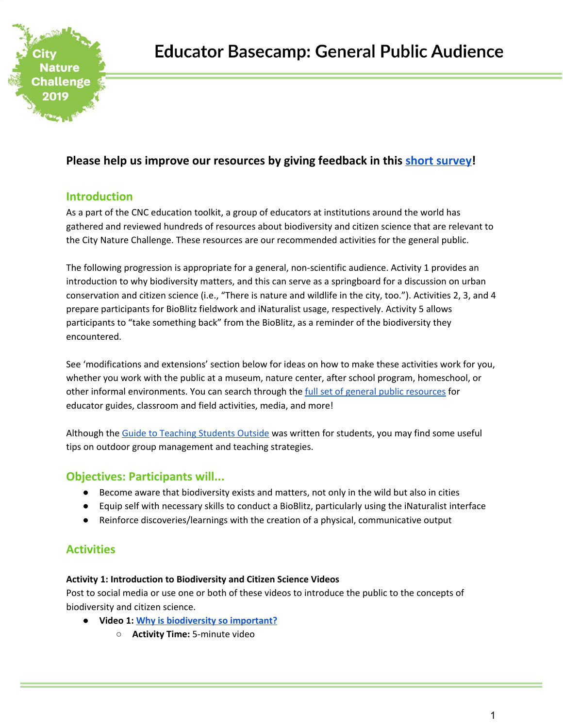

# **Please help us improve our resources by giving feedback in this short [survey](https://goo.gl/forms/LBFPPPFBgh4ZHpE63)!**

## **Introduction**

As a part of the CNC education toolkit, a group of educators at institutions around the world has gathered and reviewed hundreds of resources about biodiversity and citizen science that are relevant to the City Nature Challenge. These resources are our recommended activities for the general public.

The following progression is appropriate for a general, non-scientific audience. Activity 1 provides an introduction to why biodiversity matters, and this can serve as a springboard for a discussion on urban conservation and citizen science (i.e., "There is nature and wildlife in the city, too."). Activities 2, 3, and 4 prepare participants for BioBlitz fieldwork and iNaturalist usage, respectively. Activity 5 allows participants to "take something back" from the BioBlitz, as a reminder of the biodiversity they encountered.

See 'modifications and extensions' section below for ideas on how to make these activities work for you, whether you work with the public at a museum, nature center, after school program, homeschool, or other informal environments. You can search through the full set of general public [resources](https://docs.google.com/document/d/1onglubyN7O7cuScxPI_5Ju7f296iP7y0ODmnzS9GtYo/edit) for educator guides, classroom and field activities, media, and more!

Although the Guide to [Teaching](http://education.eol.org/cnc_materials/TipsForTeachingOutside.pdf) Students Outside was written for students, you may find some useful tips on outdoor group management and teaching strategies.

## **Objectives: Participants will...**

- Become aware that biodiversity exists and matters, not only in the wild but also in cities
- Equip self with necessary skills to conduct a BioBlitz, particularly using the iNaturalist interface
- Reinforce discoveries/learnings with the creation of a physical, communicative output

# **Activities**

### **Activity 1: Introduction to Biodiversity and Citizen Science Videos**

Post to social media or use one or both of these videos to introduce the public to the concepts of biodiversity and citizen science.

- **● Video 1: Why is [biodiversity](https://www.youtube.com/watch?v=GK_vRtHJZu4) so important?**
	- **Activity Time:** 5-minute video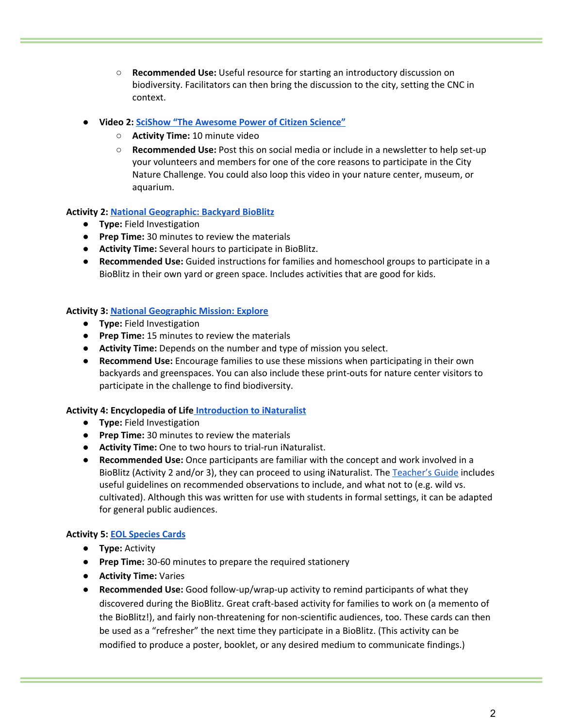- **Recommended Use:** Useful resource for starting an introductory discussion on biodiversity. Facilitators can then bring the discussion to the city, setting the CNC in context.
- **● Video 2: SciShow "The [Awesome](https://www.youtube.com/watch?v=SZwJzB-yMrU) Power of Citizen Science"**
	- **Activity Time:** 10 minute video
	- **Recommended Use:** Post this on social media or include in a newsletter to help set-up your volunteers and members for one of the core reasons to participate in the City Nature Challenge. You could also loop this video in your nature center, museum, or aquarium.

#### **Activity 2: National [Geographic:](https://www.nationalgeographic.org/activity/backyard-bioblitz/) Backyard BioBlitz**

- **Type:** Field Investigation
- **Prep Time:** 30 minutes to review the materials
- **Activity Time:** Several hours to participate in BioBlitz.
- **Recommended Use:** Guided instructions for families and homeschool groups to participate in a BioBlitz in their own yard or green space. Includes activities that are good for kids.

### **Activity 3: National [Geographic](https://media.nationalgeographic.org/assets/file/BioBlitz_Mission_Explore.pdf) Mission: Explore**

- **Type:** Field Investigation
- **Prep Time:** 15 minutes to review the materials
- **Activity Time:** Depends on the number and type of mission you select.
- **Recommend Use:** Encourage families to use these missions when participating in their own backyards and greenspaces. You can also include these print-outs for nature center visitors to participate in the challenge to find biodiversity.

#### **Activity 4: Encyclopedia of Life [Introduction](http://education.eol.org/lesson_plans/9-12_CitSci3_IntroToINat.pdf) to iNaturalist**

- **Type:** Field Investigation
- **Prep Time:** 30 minutes to review the materials
- **Activity Time:** One to two hours to trial-run iNaturalist.
- **Recommended Use:** Once participants are familiar with the concept and work involved in a BioBlitz (Activity 2 and/or 3), they can proceed to using iNaturalist. The [Teacher's](https://www.inaturalist.org/pages/teacher) Guide includes useful guidelines on recommended observations to include, and what not to (e.g. wild vs. cultivated). Although this was written for use with students in formal settings, it can be adapted for general public audiences.

#### **Activity 5: EOL [Species](http://education.eol.org/species_cards) Cards**

- **Type:** Activity
- **Prep Time:** 30-60 minutes to prepare the required stationery
- **Activity Time:** Varies
- **Recommended Use:** Good follow-up/wrap-up activity to remind participants of what they discovered during the BioBlitz. Great craft-based activity for families to work on (a memento of the BioBlitz!), and fairly non-threatening for non-scientific audiences, too. These cards can then be used as a "refresher" the next time they participate in a BioBlitz. (This activity can be modified to produce a poster, booklet, or any desired medium to communicate findings.)